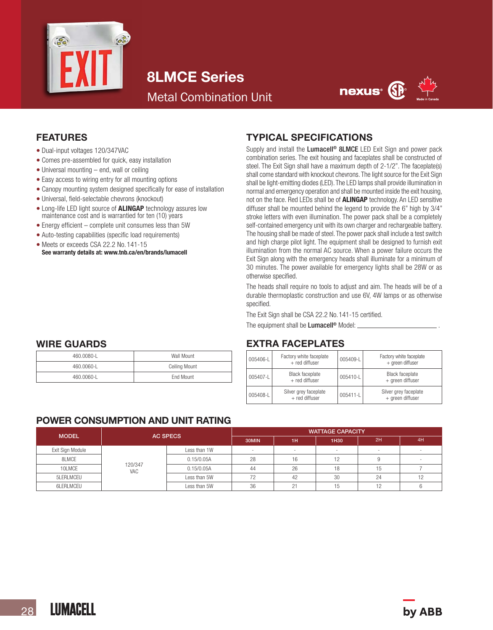

# 8LMCE Series

Metal Combination Unit



## FEATURES

- Dual-input voltages 120/347VAC
- Comes pre-assembled for quick, easy installation
- Universal mounting end, wall or ceiling
- Easy access to wiring entry for all mounting options
- Canopy mounting system designed specifically for ease of installation
- Universal, field-selectable chevrons (knockout)
- Long-life LED light source of **ALINGAP** technology assures low maintenance cost and is warrantied for ten (10) years
- Energy efficient complete unit consumes less than 5W
- Auto-testing capabilities (specific load requirements)
- Meets or exceeds CSA 22.2 No. 141-15 See warranty details at: www.tnb.ca/en/brands/lumacell

### TYPICAL SPECIFICATIONS

Supply and install the Lumacell<sup>®</sup> 8LMCE LED Exit Sign and power pack combination series. The exit housing and faceplates shall be constructed of steel. The Exit Sign shall have a maximum depth of 2-1/2". The faceplate(s) shall come standard with knockout chevrons. The light source for the Exit Sign shall be light-emitting diodes (LED). The LED lamps shall provide illumination in normal and emergency operation and shall be mounted inside the exit housing, not on the face. Red LEDs shall be of **ALINGAP** technology. An LED sensitive diffuser shall be mounted behind the legend to provide the 6" high by 3/4" stroke letters with even illumination. The power pack shall be a completely self-contained emergency unit with its own charger and rechargeable battery. The housing shall be made of steel. The power pack shall include a test switch and high charge pilot light. The equipment shall be designed to furnish exit illumination from the normal AC source. When a power failure occurs the Exit Sign along with the emergency heads shall illuminate for a minimum of 30 minutes. The power available for emergency lights shall be 28W or as otherwise specified.

The heads shall require no tools to adjust and aim. The heads will be of a durable thermoplastic construction and use 6V, 4W lamps or as otherwise specified.

The Exit Sign shall be CSA 22.2 No.141-15 certified.

The equipment shall be  $Lumacell^{\circ}$  Model:  $\perp$ 

### EXTRA FACEPLATES

| 005406-L | Factory white faceplate<br>+ red diffuser | 005409-L | Factory white faceplate<br>+ green diffuser |
|----------|-------------------------------------------|----------|---------------------------------------------|
| 005407-L | <b>Black faceplate</b><br>+ red diffuser  | 005410-L | <b>Black faceplate</b><br>+ green diffuser  |
| 005408-L | Silver grey faceplate<br>+ red diffuser   |          | Silver grey faceplate<br>+ green diffuser   |

# WIRE GUARDS

| 460.0080-1 | Wall Mount           |  |  |
|------------|----------------------|--|--|
| 460.0060-1 | <b>Ceiling Mount</b> |  |  |
| 460.0060-1 | Fnd Mount            |  |  |

# POWER CONSUMPTION AND UNIT RATING

| <b>MODEL</b>     | <b>AC SPECS</b> |              | <b>WATTAGE CAPACITY</b> |                          |        |    |    |
|------------------|-----------------|--------------|-------------------------|--------------------------|--------|----|----|
|                  |                 |              | 30MIN                   | 1H                       | 1H30   | 2H | 4H |
| Exit Sign Module |                 | Less than 1W |                         | $\overline{\phantom{a}}$ | $\sim$ |    |    |
| 8LMCE            | 120/347<br>VAC  | 0.15/0.05A   | 28                      | 16                       | 19     |    |    |
| 10LMCE           |                 | 0.15/0.05A   | 44                      | 26                       | 18     |    |    |
| 5LERLMCEU        |                 | Less than 5W |                         | 42                       | 30     | 24 |    |
| 6LERLMCEU        |                 | Less than 5W | 36                      | 21                       | 15     |    |    |